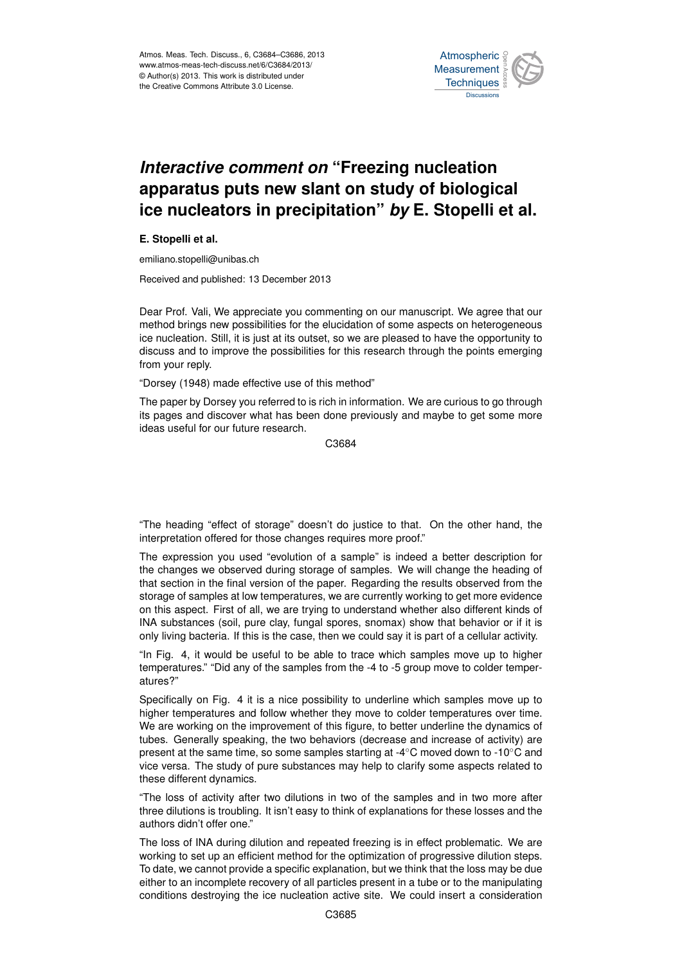

## Interactive comment on "Freezing nucleation ow clant on study of hiologic ،<br>آ  $\ddot{\cdot}$ apparatus puts new slant on study of biological Earth System Open Access  $\overline{\phantom{a}}$ ice nucleators in precipitation" *by* E. Stopelli et al.

**E. Stopelli et al.**

emiliano.stopelli@unibas.ch

Received and published: 13 December 2013  $\overline{\phantom{a}}$ 

Data Systems Data Systems Dear Prof. Vali, We appreciate you commenting on our manuscript. We agree that our ice nucleation. Still, it is just at its outset, so we are pleased to have the opportunity to discuss and to improve the possibilities for this research through the points emerging o<br>e<br>fc g<br>rt<br>er method brings new possibilities for the elucidation of some aspects on heterogeneous from your reply.

"Dorsey (1948) made effective use of this method"

The paper by Dorsey you referred to is rich in information. We are curious to go through <del>c</del>u to is non in impiritation. We are curious to gr s<br>:h  $\overline{\phantom{0}}$ its pages and discover what has been done previously and maybe to get some more ideas useful for our future research.

Ocean Science  $\tilde{c}$ C3684

"The heading "effect of storage" doesn't do justice to that. On the other hand, the interpretation offered for those changes requires more proof."

ed "evolution of a sample" is indeed a better descre e<br>e<br>e .<br>Per The expression you used "evolution of a sample" is indeed a better description for the changes we observed during storage of samples. We will change the heading of that section in the final version of the paper. Regarding the results observed from the storage of samples at low temperatures, we are currently working to get more evidence on this aspect. First of all, we are trying to understand whether also different kinds of INA substances (soil, pure clay, fungal spores, snomax) show that behavior or if it is only living bacteria. If this is the case, then we could say it is part of a cellular activity.

"In Fig. 4, it would be useful to be able to trace which samples move up to higher temperatures." "Did any of the samples from the -4 to -5 group move to colder temperatures?"

Specifically on Fig. 4 it is a nice possibility to underline which samples move up to higher temperatures and follow whether they move to colder temperatures over time. We are working on the improvement of this figure, to better underline the dynamics of tubes. Generally speaking, the two behaviors (decrease and increase of activity) are present at the same time, so some samples starting at -4◦C moved down to -10◦C and vice versa. The study of pure substances may help to clarify some aspects related to these different dynamics.

"The loss of activity after two dilutions in two of the samples and in two more after three dilutions is troubling. It isn't easy to think of explanations for these losses and the authors didn't offer one."

The loss of INA during dilution and repeated freezing is in effect problematic. We are working to set up an efficient method for the optimization of progressive dilution steps. To date, we cannot provide a specific explanation, but we think that the loss may be due either to an incomplete recovery of all particles present in a tube or to the manipulating conditions destroying the ice nucleation active site. We could insert a consideration